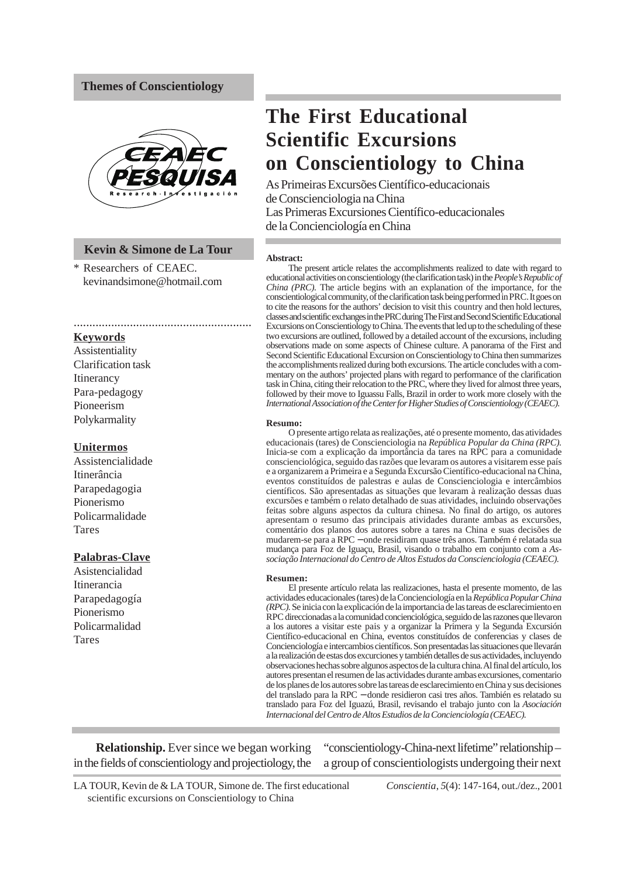# **Themes of Conscientiology**



# **Kevin & Simone de La Tour**

.........................................................

\* Researchers of CEAEC. kevinandsimone@hotmail.com

#### **Keywords**

Assistentiality Clarification task Itinerancy Para-pedagogy Pioneerism Polykarmality

#### **Unitermos**

Assistencialidade Itinerância Parapedagogia Pionerismo Policarmalidade Tares

# **Palabras-Clave**

Asistencialidad Itinerancia Parapedagogía Pionerismo Policarmalidad Tares

# **The First Educational Scientific Excursions on Conscientiology to China**

As Primeiras Excursões Científico-educacionais de Conscienciologia na China Las Primeras Excursiones Científico-educacionales de la Concienciología en China

#### **Abstract:**

The present article relates the accomplishments realized to date with regard to educational activities on conscientiology (the clarification task) in the *People's Republic of China (PRC).* The article begins with an explanation of the importance, for the conscientiological community, of the clarification task being performed in PRC. It goes on to cite the reasons for the authors' decision to visit this country and then hold lectures, classes and scientific exchanges in the PRC during The First and Second Scientific Educational Excursions on Conscientiology to China. The events that led up to the scheduling of these two excursions are outlined, followed by a detailed account of the excursions, including observations made on some aspects of Chinese culture. A panorama of the First and Second Scientific Educational Excursion on Conscientiology to China then summarizes the accomplishments realized during both excursions. The article concludes with a commentary on the authors' projected plans with regard to performance of the clarification task in China, citing their relocation to the PRC, where they lived for almost three years, followed by their move to Iguassu Falls, Brazil in order to work more closely with the *International Association of the Center for Higher Studies of Conscientiology (CEAEC).*

#### **Resumo:**

O presente artigo relata as realizações, até o presente momento, das atividades educacionais (tares) de Conscienciologia na *República Popular da China (RPC).* Inicia-se com a explicação da importância da tares na RPC para a comunidade conscienciológica, seguido das razões que levaram os autores a visitarem esse país e a organizarem a Primeira e a Segunda Excursão Científico-educacional na China, eventos constituídos de palestras e aulas de Conscienciologia e intercâmbios científicos. São apresentadas as situações que levaram à realização dessas duas excursões e também o relato detalhado de suas atividades, incluindo observações feitas sobre alguns aspectos da cultura chinesa. No final do artigo, os autores apresentam o resumo das principais atividades durante ambas as excursões, comentário dos planos dos autores sobre a tares na China e suas decisões de mudarem-se para a RPC − onde residiram quase três anos. Também é relatada sua mudança para Foz de Iguaçu, Brasil, visando o trabalho em conjunto com a *Associação Internacional do Centro de Altos Estudos da Conscienciologia (CEAEC).*

#### **Resumen:**

El presente artículo relata las realizaciones, hasta el presente momento, de las actividades educacionales (tares) de la Concienciología en la *República Popular China (RPC).* Se inicia con la explicación de la importancia de las tareas de esclarecimiento en RPC direccionadas a la comunidad concienciológica, seguido de las razones que llevaron a los autores a visitar este pais y a organizar la Primera y la Segunda Excursión Científico-educacional en China, eventos constituídos de conferencias y clases de Concienciología e intercambios científicos. Son presentadas las situaciones que llevarán a la realización de estas dos excurciones y también detalles de sus actividades, incluyendo observaciones hechas sobre algunos aspectos de la cultura china. Al final del artículo, los autores presentan el resumen de las actividades durante ambas excursiones, comentario de los planes de los autores sobre las tareas de esclarecimiento en China y sus decisiones del translado para la RPC − donde residieron casi tres años. También es relatado su translado para Foz del Iguazú, Brasil, revisando el trabajo junto con la *Asociación Internacional del Centro de Altos Estudios de la Concienciología (CEAEC).*

**Relationship.** Ever since we began working in the fields of conscientiology and projectiology, the

"conscientiology-China-next lifetime" relationship – a group of conscientiologists undergoing their next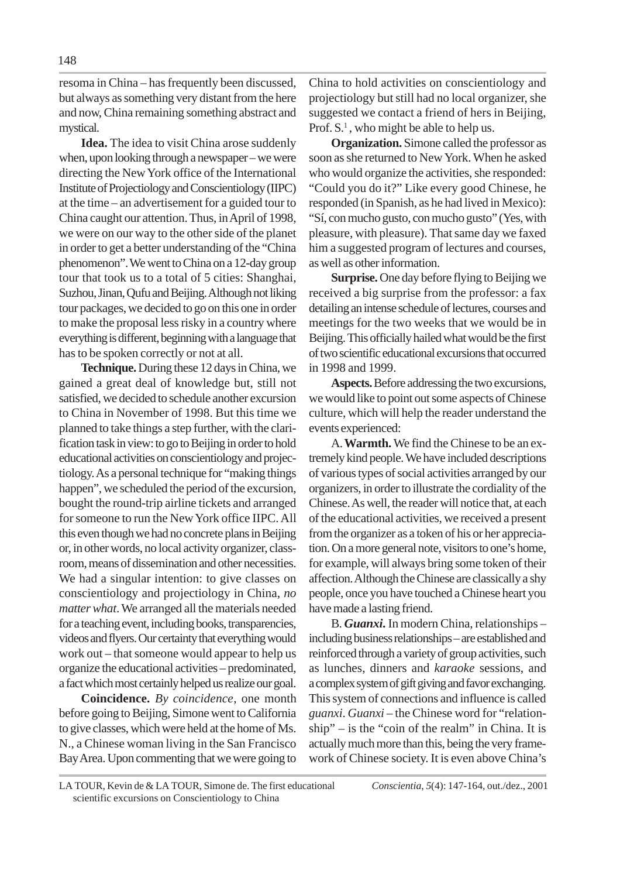resoma in China – has frequently been discussed, but always as something very distant from the here and now, China remaining something abstract and mystical.

**Idea.** The idea to visit China arose suddenly when, upon looking through a newspaper – we were directing the New York office of the International Institute of Projectiology and Conscientiology (IIPC) at the time – an advertisement for a guided tour to China caught our attention. Thus, in April of 1998, we were on our way to the other side of the planet in order to get a better understanding of the "China phenomenon". We went to China on a 12-day group tour that took us to a total of 5 cities: Shanghai, Suzhou, Jinan, Qufu and Beijing. Although not liking tour packages, we decided to go on this one in order to make the proposal less risky in a country where everything is different, beginning with a language that has to be spoken correctly or not at all.

**Technique.** During these 12 days in China, we gained a great deal of knowledge but, still not satisfied, we decided to schedule another excursion to China in November of 1998. But this time we planned to take things a step further, with the clarification task in view: to go to Beijing in order to hold educational activities on conscientiology and projectiology. As a personal technique for "making things happen", we scheduled the period of the excursion, bought the round-trip airline tickets and arranged for someone to run the New York office IIPC. All this even though we had no concrete plans in Beijing or, in other words, no local activity organizer, classroom, means of dissemination and other necessities. We had a singular intention: to give classes on conscientiology and projectiology in China, *no matter what*. We arranged all the materials needed for a teaching event, including books, transparencies, videos and flyers. Our certainty that everything would work out – that someone would appear to help us organize the educational activities – predominated, a fact which most certainly helped us realize our goal.

**Coincidence.** *By coincidence*, one month before going to Beijing, Simone went to California to give classes, which were held at the home of Ms. N., a Chinese woman living in the San Francisco Bay Area. Upon commenting that we were going to

China to hold activities on conscientiology and projectiology but still had no local organizer, she suggested we contact a friend of hers in Beijing, Prof.  $S<sup>1</sup>$ , who might be able to help us.

**Organization.** Simone called the professor as soon as she returned to New York. When he asked who would organize the activities, she responded: "Could you do it?" Like every good Chinese, he responded (in Spanish, as he had lived in Mexico): "Sí, con mucho gusto, con mucho gusto" (Yes, with pleasure, with pleasure). That same day we faxed him a suggested program of lectures and courses. as well as other information.

**Surprise.** One day before flying to Beijing we received a big surprise from the professor: a fax detailing an intense schedule of lectures, courses and meetings for the two weeks that we would be in Beijing. This officially hailed what would be the first of two scientific educational excursions that occurred in 1998 and 1999.

**Aspects.** Before addressing the two excursions, we would like to point out some aspects of Chinese culture, which will help the reader understand the events experienced:

A.**Warmth.** We find the Chinese to be an extremely kind people. We have included descriptions of various types of social activities arranged by our organizers, in order to illustrate the cordiality of the Chinese. As well, the reader will notice that, at each of the educational activities, we received a present from the organizer as a token of his or her appreciation. On a more general note, visitors to one's home, for example, will always bring some token of their affection. Although the Chinese are classically a shy people, once you have touched a Chinese heart you have made a lasting friend.

B. *Guanxi***.** In modern China, relationships – including business relationships – are established and reinforced through a variety of group activities, such as lunches, dinners and *karaoke* sessions, and a complex system of gift giving and favor exchanging. This system of connections and influence is called *guanxi*. *Guanxi* – the Chinese word for "relationship" – is the "coin of the realm" in China. It is actually much more than this, being the very framework of Chinese society. It is even above China's

LA TOUR, Kevin de & LA TOUR, Simone de. The first educational *Conscientia*, *5*(4): 147-164, out./dez., 2001 scientific excursions on Conscientiology to China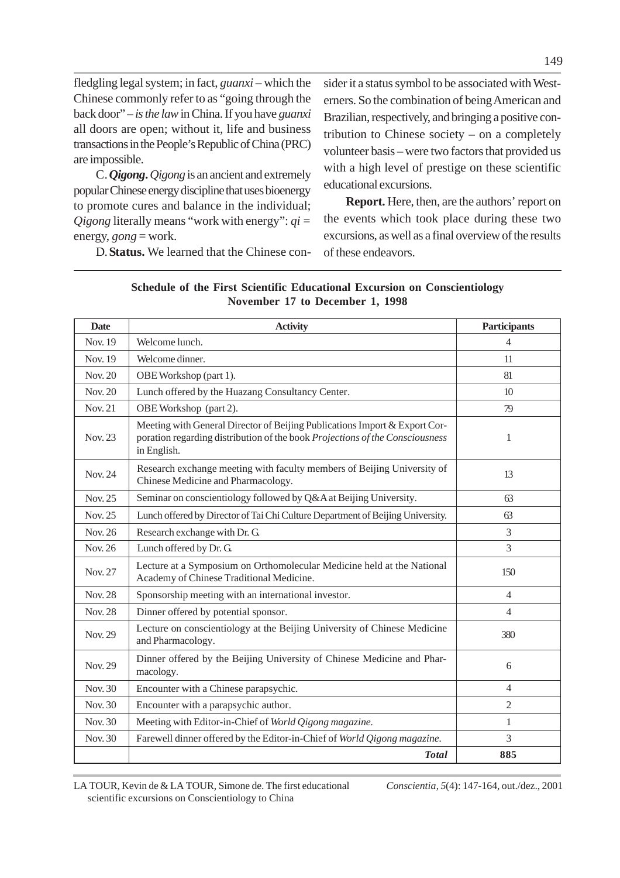fledgling legal system; in fact, *guanxi –* which the Chinese commonly refer to as "going through the back door" – *isthe law* in China. If you have *guanxi* all doors are open; without it, life and business transactions in the People's Republic of China (PRC) are impossible.

C.*Qigong***.** *Qigong* is an ancient and extremely popular Chinese energy discipline that uses bioenergy to promote cures and balance in the individual; *Qigong* literally means "work with energy": *qi =* energy, *gong* = work.

D.**Status.** We learned that the Chinese con-

sider it a status symbol to be associated with Westerners. So the combination of being American and Brazilian, respectively, and bringing a positive contribution to Chinese society – on a completely volunteer basis – were two factors that provided us with a high level of prestige on these scientific educational excursions.

**Report.** Here, then, are the authors' report on the events which took place during these two excursions, as well as a final overview of the results of these endeavors.

| Schedule of the First Scientific Educational Excursion on Conscientiology |  |
|---------------------------------------------------------------------------|--|
| November 17 to December 1, 1998                                           |  |

| <b>Date</b>    | <b>Activity</b>                                                                                                                                                           | <b>Participants</b> |
|----------------|---------------------------------------------------------------------------------------------------------------------------------------------------------------------------|---------------------|
| Nov. 19        | Welcome lunch.                                                                                                                                                            | $\overline{4}$      |
| Nov. 19        | Welcome dinner.                                                                                                                                                           | 11                  |
| Nov. 20        | OBE Workshop (part 1).                                                                                                                                                    | 81                  |
| Nov. 20        | Lunch offered by the Huazang Consultancy Center.                                                                                                                          | 10 <sup>2</sup>     |
| Nov. 21        | OBE Workshop (part 2).                                                                                                                                                    | 79                  |
| Nov. 23        | Meeting with General Director of Beijing Publications Import & Export Cor-<br>poration regarding distribution of the book Projections of the Consciousness<br>in English. | 1                   |
| Nov. 24        | Research exchange meeting with faculty members of Beijing University of<br>Chinese Medicine and Pharmacology.                                                             | 13                  |
| Nov. 25        | Seminar on conscientiology followed by Q&A at Beijing University.                                                                                                         | 63                  |
| Nov. 25        | Lunch offered by Director of Tai Chi Culture Department of Beijing University.                                                                                            | 63                  |
| Nov. 26        | Research exchange with Dr. G.                                                                                                                                             | 3                   |
| Nov. 26        | Lunch offered by Dr. G.                                                                                                                                                   | 3                   |
| Nov. 27        | Lecture at a Symposium on Orthomolecular Medicine held at the National<br>Academy of Chinese Traditional Medicine.                                                        | 150                 |
| <b>Nov. 28</b> | Sponsorship meeting with an international investor.                                                                                                                       | $\overline{4}$      |
| <b>Nov. 28</b> | Dinner offered by potential sponsor.                                                                                                                                      | $\overline{4}$      |
| Nov. 29        | Lecture on conscientiology at the Beijing University of Chinese Medicine<br>and Pharmacology.                                                                             | 380                 |
| Nov. 29        | Dinner offered by the Beijing University of Chinese Medicine and Phar-<br>macology.                                                                                       | 6                   |
| Nov. 30        | Encounter with a Chinese parapsychic.                                                                                                                                     | $\overline{4}$      |
| Nov. 30        | Encounter with a parapsychic author.                                                                                                                                      | $\overline{2}$      |
| Nov. 30        | Meeting with Editor-in-Chief of World Qigong magazine.                                                                                                                    | 1                   |
| Nov. 30        | Farewell dinner offered by the Editor-in-Chief of World Qigong magazine.                                                                                                  | 3                   |
|                | <b>Total</b>                                                                                                                                                              | 885                 |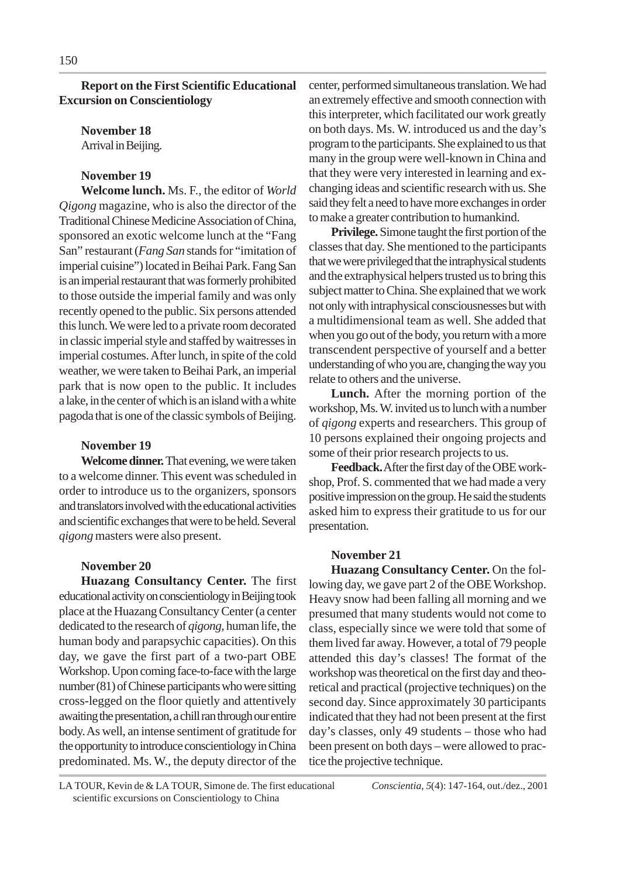**Report on the First Scientific Educational Excursion on Conscientiology**

**November 18** Arrival in Beijing.

# **November 19**

**Welcome lunch.** Ms. F., the editor of *World Qigong* magazine, who is also the director of the Traditional Chinese Medicine Association of China, sponsored an exotic welcome lunch at the "Fang San" restaurant (*Fang San* stands for "imitation of imperial cuisine") located in Beihai Park. Fang San is an imperial restaurant that was formerly prohibited to those outside the imperial family and was only recently opened to the public. Six persons attended this lunch. We were led to a private room decorated in classic imperial style and staffed by waitresses in imperial costumes. After lunch, in spite of the cold weather, we were taken to Beihai Park, an imperial park that is now open to the public. It includes a lake, in the center of which is an island with a white pagoda that is one of the classic symbols of Beijing.

# **November 19**

**Welcome dinner.** That evening, we were taken to a welcome dinner. This event was scheduled in order to introduce us to the organizers, sponsors and translators involved with the educational activities and scientific exchanges that were to be held. Several *qigong* masters were also present.

# **November 20**

**Huazang Consultancy Center.** The first educational activity on conscientiology in Beijing took place at the Huazang Consultancy Center (a center dedicated to the research of *qigong,* human life, the human body and parapsychic capacities). On this day, we gave the first part of a two-part OBE Workshop. Upon coming face-to-face with the large number (81) of Chinese participants who were sitting cross-legged on the floor quietly and attentively awaiting the presentation, a chill ran through our entire body. As well, an intense sentiment of gratitude for the opportunity to introduce conscientiology in China predominated. Ms. W., the deputy director of the center, performed simultaneous translation. We had an extremely effective and smooth connection with this interpreter, which facilitated our work greatly on both days. Ms. W. introduced us and the day's program to the participants. She explained to us that many in the group were well-known in China and that they were very interested in learning and exchanging ideas and scientific research with us. She said they felt a need to have more exchanges in order to make a greater contribution to humankind.

**Privilege.** Simone taught the first portion of the classes that day. She mentioned to the participants that we were privileged that the intraphysical students and the extraphysical helpers trusted us to bring this subject matter to China. She explained that we work not only with intraphysical consciousnesses but with a multidimensional team as well. She added that when you go out of the body, you return with a more transcendent perspective of yourself and a better understanding of who you are, changing the way you relate to others and the universe.

**Lunch.** After the morning portion of the workshop, Ms. W. invited us to lunch with a number of *qigong* experts and researchers. This group of 10 persons explained their ongoing projects and some of their prior research projects to us.

**Feedback.**After the first day of the OBE workshop, Prof. S. commented that we had made a very positive impression on the group. He said the students asked him to express their gratitude to us for our presentation.

# **November 21**

**Huazang Consultancy Center.** On the following day, we gave part 2 of the OBE Workshop. Heavy snow had been falling all morning and we presumed that many students would not come to class, especially since we were told that some of them lived far away. However, a total of 79 people attended this day's classes! The format of the workshop was theoretical on the first day and theoretical and practical (projective techniques) on the second day. Since approximately 30 participants indicated that they had not been present at the first day's classes, only 49 students – those who had been present on both days – were allowed to practice the projective technique.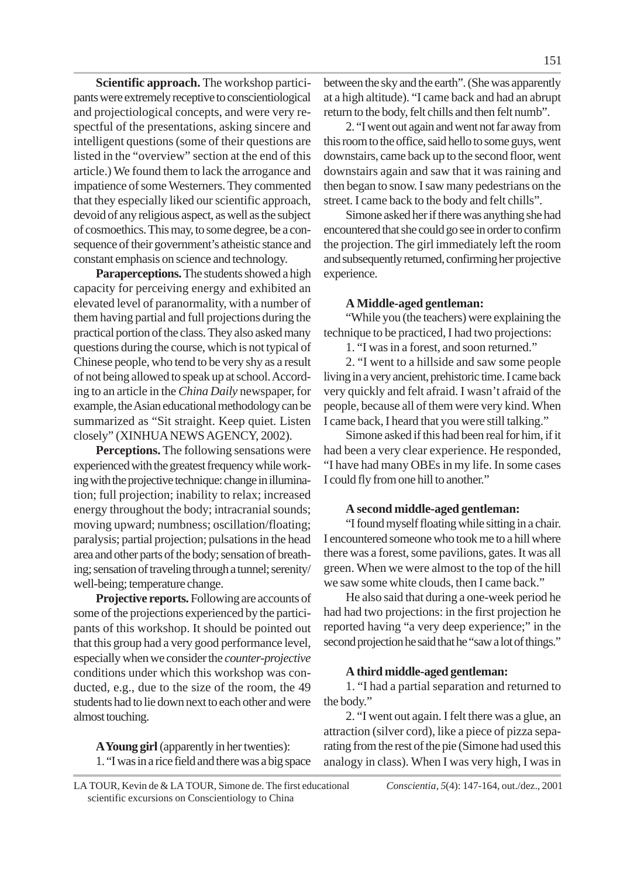**Scientific approach.** The workshop participants were extremely receptive to conscientiological and projectiological concepts, and were very respectful of the presentations, asking sincere and intelligent questions (some of their questions are listed in the "overview" section at the end of this article.) We found them to lack the arrogance and impatience of some Westerners. They commented that they especially liked our scientific approach, devoid of any religious aspect, as well as the subject of cosmoethics. This may, to some degree, be a consequence of their government's atheistic stance and constant emphasis on science and technology.

**Paraperceptions.** The students showed a high capacity for perceiving energy and exhibited an elevated level of paranormality, with a number of them having partial and full projections during the practical portion of the class. They also asked many questions during the course, which is not typical of Chinese people, who tend to be very shy as a result of not being allowed to speak up at school. According to an article in the *China Daily* newspaper, for example*,* the Asian educational methodology can be summarized as "Sit straight. Keep quiet. Listen closely" (XINHUA NEWS AGENCY, 2002).

**Perceptions.** The following sensations were experienced with the greatest frequency while working with the projective technique: change in illumination; full projection; inability to relax; increased energy throughout the body; intracranial sounds; moving upward; numbness; oscillation/floating; paralysis; partial projection; pulsations in the head area and other parts of the body; sensation of breathing; sensation of traveling through a tunnel; serenity/ well-being; temperature change.

**Projective reports.** Following are accounts of some of the projections experienced by the participants of this workshop. It should be pointed out that this group had a very good performance level, especially when we consider the *counter-projective* conditions under which this workshop was conducted, e.g., due to the size of the room, the 49 students had to lie down next to each other and were almost touching.

**A Young girl** (apparently in her twenties): 1. "I was in a rice field and there was a big space between the sky and the earth". (She was apparently at a high altitude). "I came back and had an abrupt return to the body, felt chills and then felt numb".

2. "I went out again and went not far away from this room to the office, said hello to some guys, went downstairs, came back up to the second floor, went downstairs again and saw that it was raining and then began to snow. I saw many pedestrians on the street. I came back to the body and felt chills".

Simone asked her if there was anything she had encountered that she could go see in order to confirm the projection. The girl immediately left the room and subsequently returned, confirming her projective experience.

# **A Middle-aged gentleman:**

"While you (the teachers) were explaining the technique to be practiced, I had two projections:

1. "I was in a forest, and soon returned."

2. "I went to a hillside and saw some people living in a very ancient, prehistoric time. I came back very quickly and felt afraid. I wasn't afraid of the people, because all of them were very kind. When I came back, I heard that you were still talking."

Simone asked if this had been real for him, if it had been a very clear experience. He responded, "I have had many OBEs in my life. In some cases I could fly from one hill to another."

# **A second middle-aged gentleman:**

"I found myself floating while sitting in a chair. I encountered someone who took me to a hill where there was a forest, some pavilions, gates. It was all green. When we were almost to the top of the hill we saw some white clouds, then I came back."

He also said that during a one-week period he had had two projections: in the first projection he reported having "a very deep experience;" in the second projection he said that he "saw a lot of things."

# **A third middle-aged gentleman:**

1. "I had a partial separation and returned to the body."

2. "I went out again. I felt there was a glue, an attraction (silver cord), like a piece of pizza separating from the rest of the pie (Simone had used this analogy in class). When I was very high, I was in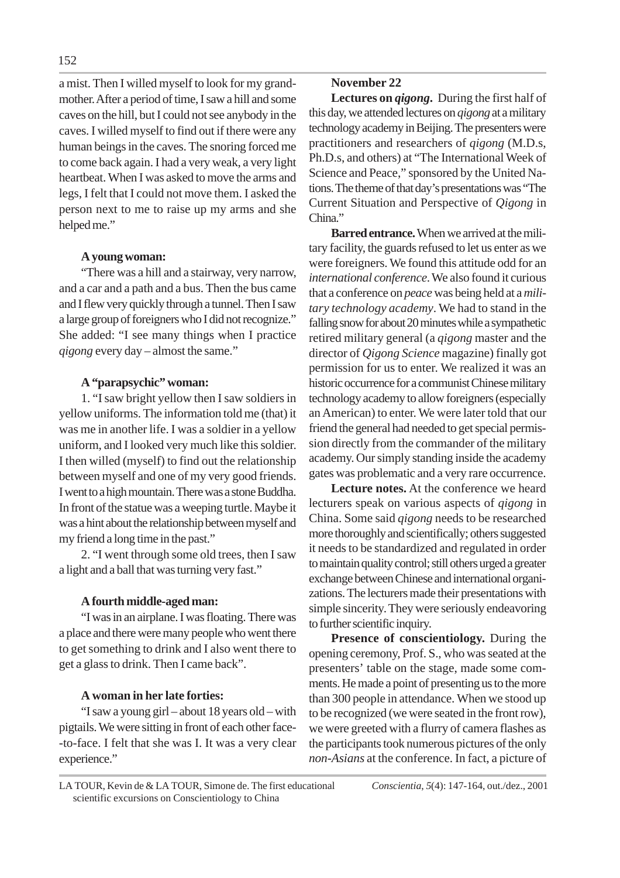a mist. Then I willed myself to look for my grandmother. After a period of time, I saw a hill and some caves on the hill, but I could not see anybody in the caves. I willed myself to find out if there were any human beings in the caves. The snoring forced me to come back again. I had a very weak, a very light heartbeat. When I was asked to move the arms and legs, I felt that I could not move them. I asked the person next to me to raise up my arms and she helped me."

# **A young woman:**

"There was a hill and a stairway, very narrow, and a car and a path and a bus. Then the bus came and I flew very quickly through a tunnel. Then I saw a large group of foreigners who I did not recognize." She added: "I see many things when I practice *qigong* every day – almost the same."

# **A "parapsychic" woman:**

1. "I saw bright yellow then I saw soldiers in yellow uniforms. The information told me (that) it was me in another life. I was a soldier in a yellow uniform, and I looked very much like this soldier. I then willed (myself) to find out the relationship between myself and one of my very good friends. I went to a high mountain. There was a stone Buddha. In front of the statue was a weeping turtle. Maybe it was a hint about the relationship between myself and my friend a long time in the past."

2. "I went through some old trees, then I saw a light and a ball that was turning very fast."

# **A fourth middle-aged man:**

"I was in an airplane. I was floating. There was a place and there were many people who went there to get something to drink and I also went there to get a glass to drink. Then I came back".

# **A woman in her late forties:**

"I saw a young girl – about 18 years old – with pigtails. We were sitting in front of each other face- -to-face. I felt that she was I. It was a very clear experience."

# **November 22**

**Lectures on** *qigong***.** During the first half of this day, we attended lectures on *qigong* at a military technology academy in Beijing. The presenters were practitioners and researchers of *qigong* (M.D.s, Ph.D.s, and others) at "The International Week of Science and Peace," sponsored by the United Nations. The theme of that day's presentations was "The Current Situation and Perspective of *Qigong* in China."

**Barred entrance.** When we arrived at the military facility, the guards refused to let us enter as we were foreigners. We found this attitude odd for an *international conference*. We also found it curious that a conference on *peace* was being held at a *military technology academy*. We had to stand in the falling snow for about 20 minutes while a sympathetic retired military general (a *qigong* master and the director of *Qigong Science* magazine) finally got permission for us to enter. We realized it was an historic occurrence for a communist Chinese military technology academy to allow foreigners (especially an American) to enter. We were later told that our friend the general had needed to get special permission directly from the commander of the military academy. Our simply standing inside the academy gates was problematic and a very rare occurrence.

**Lecture notes.** At the conference we heard lecturers speak on various aspects of *qigong* in China. Some said *qigong* needs to be researched more thoroughly and scientifically; others suggested it needs to be standardized and regulated in order to maintain quality control; still others urged a greater exchange between Chinese and international organizations. The lecturers made their presentations with simple sincerity. They were seriously endeavoring to further scientific inquiry.

**Presence of conscientiology.** During the opening ceremony, Prof. S., who was seated at the presenters' table on the stage, made some comments. He made a point of presenting us to the more than 300 people in attendance. When we stood up to be recognized (we were seated in the front row), we were greeted with a flurry of camera flashes as the participants took numerous pictures of the only *non-Asians* at the conference. In fact, a picture of

LA TOUR, Kevin de & LA TOUR, Simone de. The first educational *Conscientia*, *5*(4): 147-164, out./dez., 2001 scientific excursions on Conscientiology to China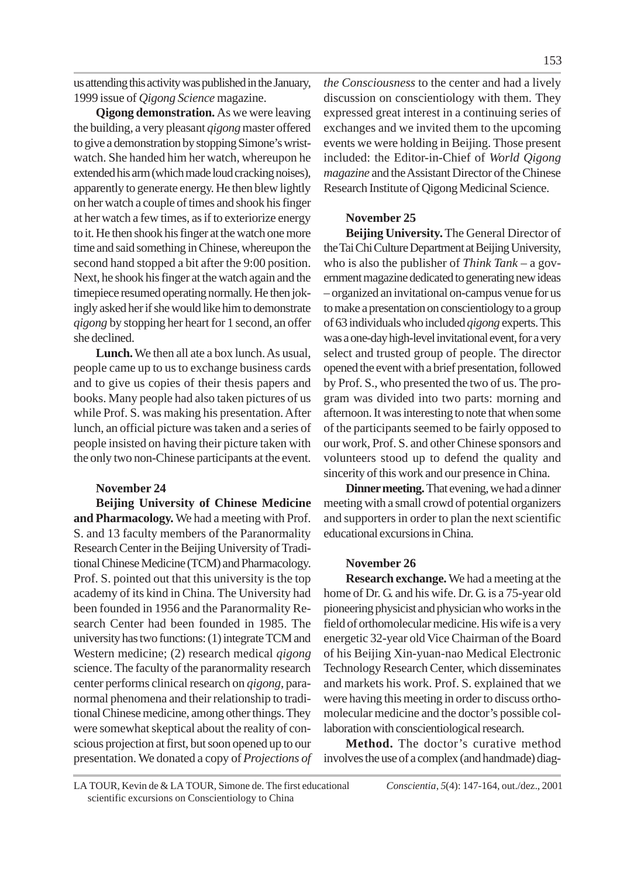us attending this activity was published in the January, 1999 issue of *Qigong Science* magazine.

**Qigong demonstration.** As we were leaving the building, a very pleasant *qigong* master offered to give a demonstration by stopping Simone's wristwatch. She handed him her watch, whereupon he extended his arm (which made loud cracking noises), apparently to generate energy. He then blew lightly on her watch a couple of times and shook his finger at her watch a few times, as if to exteriorize energy to it. He then shook his finger at the watch one more time and said something in Chinese, whereupon the second hand stopped a bit after the 9:00 position. Next, he shook his finger at the watch again and the timepiece resumed operating normally. He then jokingly asked her if she would like him to demonstrate *qigong* by stopping her heart for 1 second, an offer she declined.

**Lunch.** We then all ate a box lunch. As usual, people came up to us to exchange business cards and to give us copies of their thesis papers and books. Many people had also taken pictures of us while Prof. S. was making his presentation. After lunch, an official picture was taken and a series of people insisted on having their picture taken with the only two non-Chinese participants at the event.

# **November 24**

**Beijing University of Chinese Medicine and Pharmacology.** We had a meeting with Prof. S. and 13 faculty members of the Paranormality Research Center in the Beijing University of Traditional Chinese Medicine (TCM) and Pharmacology. Prof. S. pointed out that this university is the top academy of its kind in China. The University had been founded in 1956 and the Paranormality Research Center had been founded in 1985. The university has two functions: (1) integrate TCM and Western medicine; (2) research medical *qigong* science. The faculty of the paranormality research center performs clinical research on *qigong,* paranormal phenomena and their relationship to traditional Chinese medicine, among other things. They were somewhat skeptical about the reality of conscious projection at first, but soon opened up to our presentation. We donated a copy of *Projections of* *the Consciousness* to the center and had a lively discussion on conscientiology with them. They expressed great interest in a continuing series of exchanges and we invited them to the upcoming events we were holding in Beijing. Those present included: the Editor-in-Chief of *World Qigong magazine* and the Assistant Director of the Chinese Research Institute of Qigong Medicinal Science.

# **November 25**

**Beijing University.**The General Director of the Tai Chi Culture Department at Beijing University, who is also the publisher of *Think Tank* – a government magazine dedicated to generating new ideas – organized an invitational on-campus venue for us to make a presentation on conscientiology to a group of 63 individuals who included *qigong* experts. This was a one-day high-level invitational event, for a very select and trusted group of people. The director opened the event with a brief presentation, followed by Prof. S., who presented the two of us. The program was divided into two parts: morning and afternoon. It was interesting to note that when some of the participants seemed to be fairly opposed to our work, Prof. S. and other Chinese sponsors and volunteers stood up to defend the quality and sincerity of this work and our presence in China.

**Dinner meeting.** That evening, we had a dinner meeting with a small crowd of potential organizers and supporters in order to plan the next scientific educational excursions in China.

## **November 26**

**Research exchange.** We had a meeting at the home of Dr. G. and his wife. Dr. G. is a 75-year old pioneering physicist and physician who works in the field of orthomolecular medicine. His wife is a very energetic 32-year old Vice Chairman of the Board of his Beijing Xin-yuan-nao Medical Electronic Technology Research Center, which disseminates and markets his work. Prof. S. explained that we were having this meeting in order to discuss orthomolecular medicine and the doctor's possible collaboration with conscientiological research.

**Method.** The doctor's curative method involves the use of a complex (and handmade) diag-

LA TOUR, Kevin de & LA TOUR, Simone de. The first educational *Conscientia*, *5*(4): 147-164, out./dez., 2001 scientific excursions on Conscientiology to China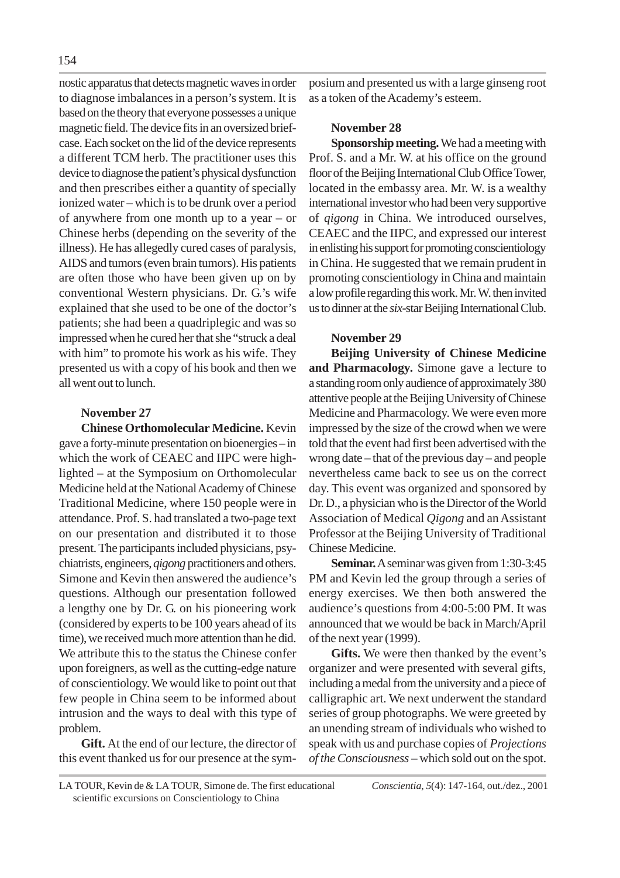nostic apparatus that detects magnetic waves in order to diagnose imbalances in a person's system. It is based on the theory that everyone possesses a unique magnetic field. The device fits in an oversized briefcase. Each socket on the lid of the device represents a different TCM herb. The practitioner uses this device to diagnose the patient's physical dysfunction and then prescribes either a quantity of specially ionized water – which is to be drunk over a period of anywhere from one month up to a year – or Chinese herbs (depending on the severity of the illness). He has allegedly cured cases of paralysis, AIDS and tumors (even brain tumors). His patients are often those who have been given up on by conventional Western physicians. Dr. G.'s wife explained that she used to be one of the doctor's patients; she had been a quadriplegic and was so impressed when he cured her that she "struck a deal with him" to promote his work as his wife. They presented us with a copy of his book and then we all went out to lunch.

# **November 27**

**Chinese Orthomolecular Medicine.** Kevin gave a forty-minute presentation on bioenergies – in which the work of CEAEC and IIPC were highlighted – at the Symposium on Orthomolecular Medicine held at the National Academy of Chinese Traditional Medicine, where 150 people were in attendance. Prof. S. had translated a two-page text on our presentation and distributed it to those present. The participants included physicians, psychiatrists, engineers, *qigong* practitioners and others. Simone and Kevin then answered the audience's questions. Although our presentation followed a lengthy one by Dr. G. on his pioneering work (considered by experts to be 100 years ahead of its time), we received much more attention than he did. We attribute this to the status the Chinese confer upon foreigners, as well as the cutting-edge nature of conscientiology. We would like to point out that few people in China seem to be informed about intrusion and the ways to deal with this type of problem.

**Gift.** At the end of our lecture, the director of this event thanked us for our presence at the symposium and presented us with a large ginseng root as a token of the Academy's esteem.

# **November 28**

**Sponsorship meeting.** We had a meeting with Prof. S. and a Mr. W. at his office on the ground floor of the Beijing International Club Office Tower, located in the embassy area. Mr. W. is a wealthy international investor who had been very supportive of *qigong* in China. We introduced ourselves, CEAEC and the IIPC, and expressed our interest in enlisting his support for promoting conscientiology in China. He suggested that we remain prudent in promoting conscientiology in China and maintain a low profile regarding this work. Mr. W. then invited us to dinner at the *six*-star Beijing International Club.

# **November 29**

**Beijing University of Chinese Medicine and Pharmacology.** Simone gave a lecture to a standing room only audience of approximately 380 attentive people at the Beijing University of Chinese Medicine and Pharmacology. We were even more impressed by the size of the crowd when we were told that the event had first been advertised with the wrong date – that of the previous day – and people nevertheless came back to see us on the correct day. This event was organized and sponsored by Dr. D., a physician who is the Director of the World Association of Medical *Qigong* and an Assistant Professor at the Beijing University of Traditional Chinese Medicine.

**Seminar.** A seminar was given from 1:30-3:45 PM and Kevin led the group through a series of energy exercises. We then both answered the audience's questions from 4:00-5:00 PM. It was announced that we would be back in March/April of the next year (1999).

**Gifts.** We were then thanked by the event's organizer and were presented with several gifts, including a medal from the university and a piece of calligraphic art. We next underwent the standard series of group photographs. We were greeted by an unending stream of individuals who wished to speak with us and purchase copies of *Projections of the Consciousness* – which sold out on the spot.

LA TOUR, Kevin de & LA TOUR, Simone de. The first educational *Conscientia*, *5*(4): 147-164, out./dez., 2001 scientific excursions on Conscientiology to China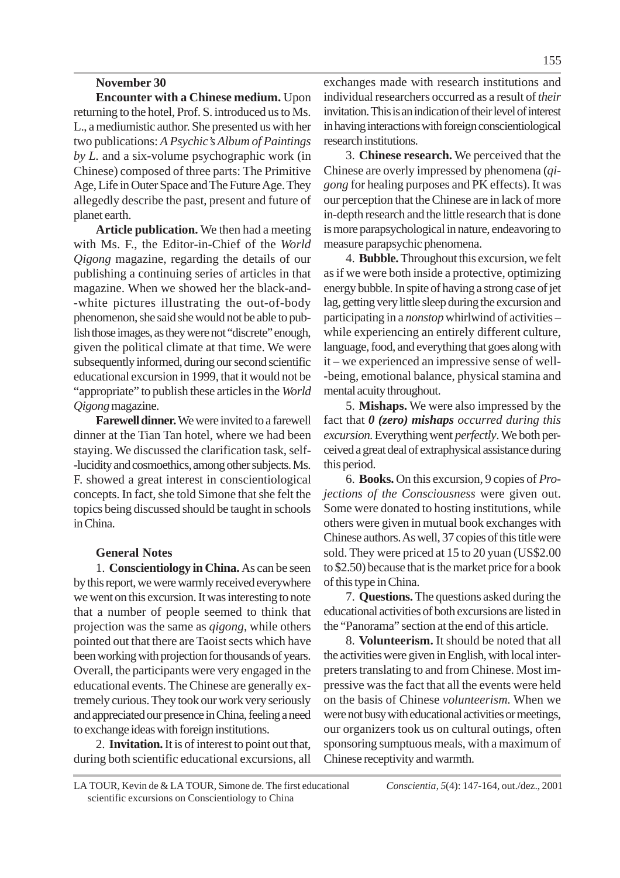# **November 30**

**Encounter with a Chinese medium.** Upon returning to the hotel, Prof. S. introduced us to Ms. L., a mediumistic author. She presented us with her two publications: *A Psychic's Album of Paintings by L.* and a six-volume psychographic work (in Chinese) composed of three parts: The Primitive Age, Life in Outer Space and The Future Age. They allegedly describe the past, present and future of planet earth.

**Article publication.** We then had a meeting with Ms. F., the Editor-in-Chief of the *World Qigong* magazine, regarding the details of our publishing a continuing series of articles in that magazine. When we showed her the black-and- -white pictures illustrating the out-of-body phenomenon, she said she would not be able to publish those images, as they were not "discrete" enough, given the political climate at that time. We were subsequently informed, during our second scientific educational excursion in 1999, that it would not be "appropriate" to publish these articles in the *World Qigong* magazine.

**Farewell dinner.** We were invited to a farewell dinner at the Tian Tan hotel, where we had been staying. We discussed the clarification task, self- -lucidity and cosmoethics, among other subjects. Ms. F. showed a great interest in conscientiological concepts. In fact, she told Simone that she felt the topics being discussed should be taught in schools in China.

# **General Notes**

1. **Conscientiology in China.** As can be seen by this report, we were warmly received everywhere we went on this excursion. It was interesting to note that a number of people seemed to think that projection was the same as *qigong*, while others pointed out that there are Taoist sects which have been working with projection for thousands of years. Overall, the participants were very engaged in the educational events. The Chinese are generally extremely curious. They took our work very seriously and appreciated our presence in China, feeling a need to exchange ideas with foreign institutions.

2. **Invitation.** It is of interest to point out that, during both scientific educational excursions, all exchanges made with research institutions and individual researchers occurred as a result of *their* invitation. This is an indication of their level of interest in having interactions with foreign conscientiological research institutions.

3. **Chinese research.** We perceived that the Chinese are overly impressed by phenomena (*qigong* for healing purposes and PK effects). It was our perception that the Chinese are in lack of more in-depth research and the little research that is done is more parapsychological in nature, endeavoring to measure parapsychic phenomena.

4. **Bubble.** Throughout this excursion, we felt as if we were both inside a protective, optimizing energy bubble. In spite of having a strong case of jet lag, getting very little sleep during the excursion and participating in a *nonstop* whirlwind of activities – while experiencing an entirely different culture, language, food, and everything that goes along with it – we experienced an impressive sense of well- -being, emotional balance, physical stamina and mental acuity throughout.

5. **Mishaps.** We were also impressed by the fact that *0 (zero) mishaps occurred during this excursion*. Everything went *perfectly*. We both perceived a great deal of extraphysical assistance during this period.

6. **Books.** On this excursion, 9 copies of *Projections of the Consciousness* were given out. Some were donated to hosting institutions, while others were given in mutual book exchanges with Chinese authors. As well, 37 copies of this title were sold. They were priced at 15 to 20 yuan (US\$2.00 to \$2.50) because that is the market price for a book of this type in China.

7. **Questions.** The questions asked during the educational activities of both excursions are listed in the "Panorama" section at the end of this article.

8. **Volunteerism.** It should be noted that all the activities were given in English, with local interpreters translating to and from Chinese. Most impressive was the fact that all the events were held on the basis of Chinese *volunteerism*. When we were not busy with educational activities or meetings, our organizers took us on cultural outings, often sponsoring sumptuous meals, with a maximum of Chinese receptivity and warmth.

LA TOUR, Kevin de & LA TOUR, Simone de. The first educational *Conscientia*, *5*(4): 147-164, out./dez., 2001 scientific excursions on Conscientiology to China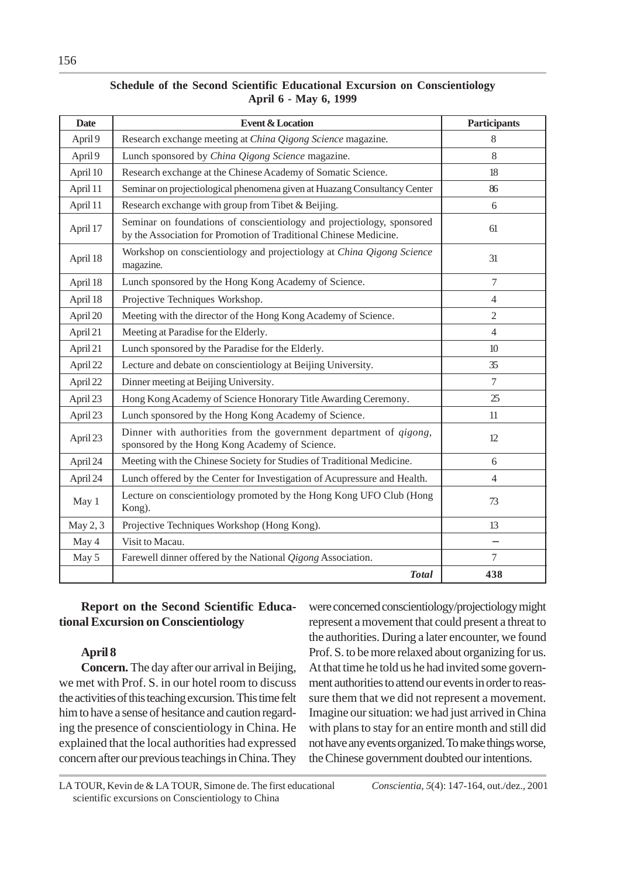| <b>Date</b> | <b>Event &amp; Location</b>                                                                                                                 | <b>Participants</b> |
|-------------|---------------------------------------------------------------------------------------------------------------------------------------------|---------------------|
| April 9     | Research exchange meeting at China Qigong Science magazine.                                                                                 | 8                   |
| April 9     | Lunch sponsored by China Qigong Science magazine.                                                                                           | 8                   |
| April 10    | Research exchange at the Chinese Academy of Somatic Science.                                                                                | 18                  |
| April 11    | Seminar on projectiological phenomena given at Huazang Consultancy Center                                                                   | 86                  |
| April 11    | Research exchange with group from Tibet & Beijing.                                                                                          | 6                   |
| April 17    | Seminar on foundations of conscientiology and projectiology, sponsored<br>by the Association for Promotion of Traditional Chinese Medicine. | 61                  |
| April 18    | Workshop on conscientiology and projectiology at China Qigong Science<br>magazine.                                                          | 31                  |
| April 18    | Lunch sponsored by the Hong Kong Academy of Science.                                                                                        | $\overline{7}$      |
| April 18    | Projective Techniques Workshop.                                                                                                             | $\overline{4}$      |
| April 20    | Meeting with the director of the Hong Kong Academy of Science.                                                                              | $\overline{2}$      |
| April 21    | Meeting at Paradise for the Elderly.                                                                                                        | $\overline{4}$      |
| April 21    | Lunch sponsored by the Paradise for the Elderly.                                                                                            | 10 <sup>10</sup>    |
| April 22    | Lecture and debate on conscientiology at Beijing University.                                                                                | 35                  |
| April 22    | Dinner meeting at Beijing University.                                                                                                       | $\tau$              |
| April 23    | Hong Kong Academy of Science Honorary Title Awarding Ceremony.                                                                              | 25                  |
| April 23    | Lunch sponsored by the Hong Kong Academy of Science.                                                                                        | 11                  |
| April 23    | Dinner with authorities from the government department of <i>qigong</i> ,<br>sponsored by the Hong Kong Academy of Science.                 | 12                  |
| April 24    | Meeting with the Chinese Society for Studies of Traditional Medicine.                                                                       | 6                   |
| April 24    | Lunch offered by the Center for Investigation of Acupressure and Health.                                                                    | $\overline{4}$      |
| May 1       | Lecture on conscientiology promoted by the Hong Kong UFO Club (Hong<br>Kong).                                                               | 73                  |
| May 2, 3    | Projective Techniques Workshop (Hong Kong).                                                                                                 | 13                  |
| May 4       | Visit to Macau.                                                                                                                             | —                   |
| May 5       | Farewell dinner offered by the National Qigong Association.                                                                                 | $\overline{7}$      |
|             | <b>Total</b>                                                                                                                                | 438                 |

# **Schedule of the Second Scientific Educational Excursion on Conscientiology April 6 - May 6, 1999**

# **Report on the Second Scientific Educational Excursion on Conscientiology**

# **April 8**

**Concern.** The day after our arrival in Beijing, we met with Prof. S. in our hotel room to discuss the activities of this teaching excursion. This time felt him to have a sense of hesitance and caution regarding the presence of conscientiology in China. He explained that the local authorities had expressed concern after our previous teachings in China. They were concerned conscientiology/projectiology might represent a movement that could present a threat to the authorities. During a later encounter, we found Prof. S. to be more relaxed about organizing for us. At that time he told us he had invited some government authorities to attend our events in order to reassure them that we did not represent a movement. Imagine our situation: we had just arrived in China with plans to stay for an entire month and still did not have any events organized. To make things worse, the Chinese government doubted our intentions.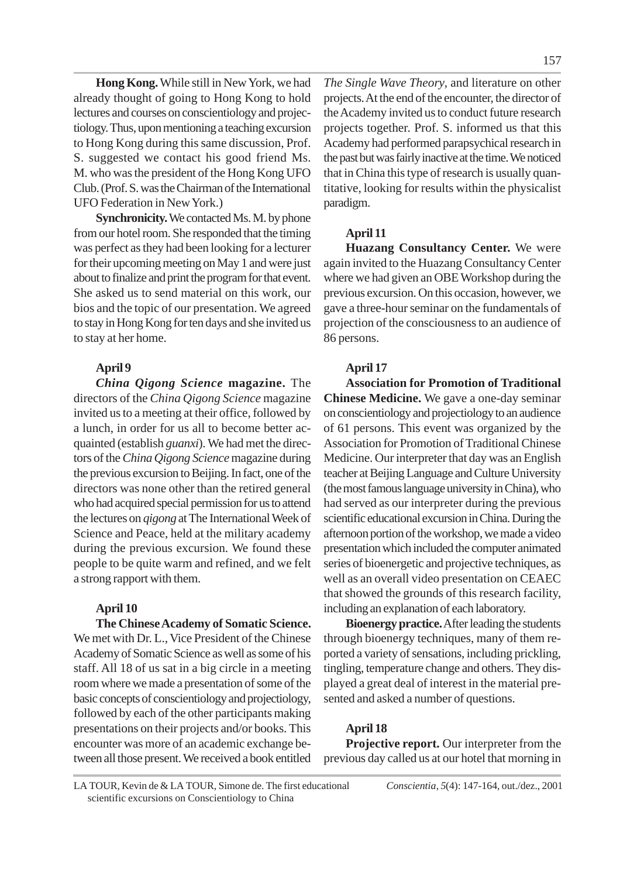**Hong Kong.**While still in New York, we had already thought of going to Hong Kong to hold lectures and courses on conscientiology and projectiology. Thus, upon mentioning a teaching excursion to Hong Kong during this same discussion, Prof. S. suggested we contact his good friend Ms. M. who was the president of the Hong Kong UFO Club. (Prof. S. was the Chairman of the International UFO Federation in New York.)

**Synchronicity.** We contacted Ms. M. by phone from our hotel room. She responded that the timing was perfect as they had been looking for a lecturer for their upcoming meeting on May 1 and were just about to finalize and print the program for that event. She asked us to send material on this work, our bios and the topic of our presentation. We agreed to stay in Hong Kong for ten days and she invited us to stay at her home.

## **April 9**

*China Qigong Science* **magazine.** The directors of the *China Qigong Science* magazine invited us to a meeting at their office, followed by a lunch, in order for us all to become better acquainted (establish *guanxi*). We had met the directors of the *ChinaQigong Science* magazine during the previous excursion to Beijing. In fact, one of the directors was none other than the retired general who had acquired special permission for us to attend the lectures on *qigong* at The International Week of Science and Peace, held at the military academy during the previous excursion. We found these people to be quite warm and refined, and we felt a strong rapport with them.

## **April 10**

**The Chinese Academy of Somatic Science.** We met with Dr. L., Vice President of the Chinese Academy of Somatic Science as well as some of his staff. All 18 of us sat in a big circle in a meeting room where we made a presentation of some of the basic concepts of conscientiology and projectiology, followed by each of the other participants making presentations on their projects and/or books. This encounter was more of an academic exchange between all those present. We received a book entitled

*The Single Wave Theory*, and literature on other projects. At the end of the encounter, the director of the Academy invited us to conduct future research projects together. Prof. S. informed us that this Academy had performed parapsychical research in the past but was fairly inactive at the time. We noticed that in China this type of research is usually quantitative, looking for results within the physicalist paradigm.

## **April 11**

**Huazang Consultancy Center.** We were again invited to the Huazang Consultancy Center where we had given an OBE Workshop during the previous excursion. On this occasion, however, we gave a three-hour seminar on the fundamentals of projection of the consciousness to an audience of 86 persons.

#### **April 17**

**Association for Promotion of Traditional Chinese Medicine.** We gave a one-day seminar on conscientiology and projectiology to an audience of 61 persons. This event was organized by the Association for Promotion of Traditional Chinese Medicine. Our interpreter that day was an English teacher at Beijing Language and Culture University (the most famous language university in China), who had served as our interpreter during the previous scientific educational excursion in China. During the afternoon portion of the workshop, we made a video presentation which included the computer animated series of bioenergetic and projective techniques, as well as an overall video presentation on CEAEC that showed the grounds of this research facility, including an explanation of each laboratory.

**Bioenergy practice.**After leading the students through bioenergy techniques, many of them reported a variety of sensations, including prickling, tingling, temperature change and others. They displayed a great deal of interest in the material presented and asked a number of questions.

## **April 18**

**Projective report.** Our interpreter from the previous day called us at our hotel that morning in

LA TOUR, Kevin de & LA TOUR, Simone de. The first educational *Conscientia*, *5*(4): 147-164, out./dez., 2001 scientific excursions on Conscientiology to China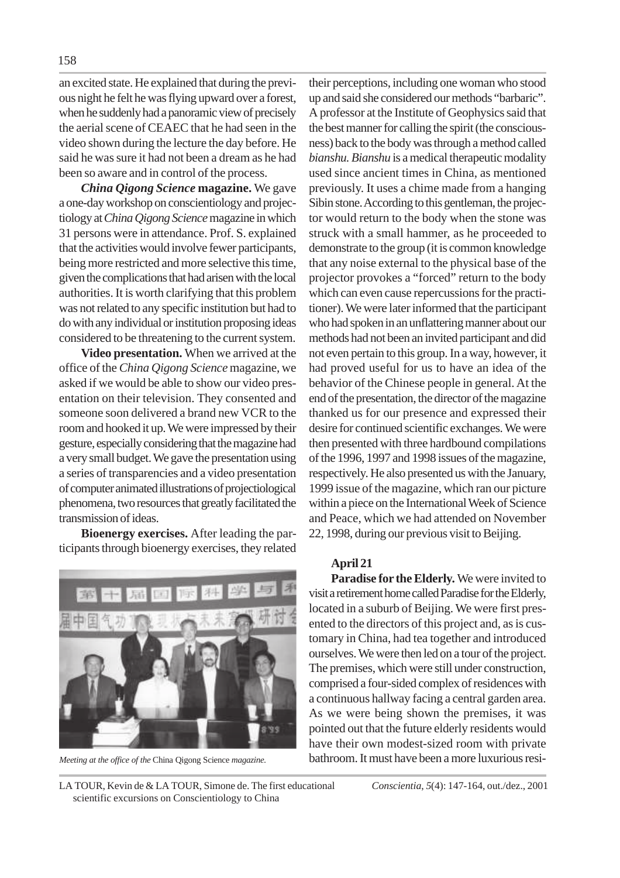an excited state. He explained that during the previous night he felt he was flying upward over a forest, when he suddenly had a panoramic view of precisely the aerial scene of CEAEC that he had seen in the video shown during the lecture the day before. He said he was sure it had not been a dream as he had been so aware and in control of the process.

*China Qigong Science* **magazine.** We gave a one-day workshop on conscientiology and projectiology at *China Qigong Science* magazine in which 31 persons were in attendance. Prof. S. explained that the activities would involve fewer participants, being more restricted and more selective this time, given the complications that had arisen with the local authorities. It is worth clarifying that this problem was not related to any specific institution but had to do with any individual or institution proposing ideas considered to be threatening to the current system.

**Video presentation.** When we arrived at the office of the *China Qigong Science* magazine, we asked if we would be able to show our video presentation on their television. They consented and someone soon delivered a brand new VCR to the room and hooked it up. We were impressed by their gesture, especially considering that the magazine had a very small budget. We gave the presentation using a series of transparencies and a video presentation of computer animated illustrations of projectiological phenomena, two resources that greatly facilitated the transmission of ideas.

**Bioenergy exercises.** After leading the participants through bioenergy exercises, they related



their perceptions, including one woman who stood up and said she considered our methods "barbaric". A professor at the Institute of Geophysics said that the best manner for calling the spirit (the consciousness) back to the body was through a method called *bianshu. Bianshu* is a medical therapeutic modality used since ancient times in China, as mentioned previously. It uses a chime made from a hanging Sibin stone. According to this gentleman, the projector would return to the body when the stone was struck with a small hammer, as he proceeded to demonstrate to the group (it is common knowledge that any noise external to the physical base of the projector provokes a "forced" return to the body which can even cause repercussions for the practitioner). We were later informed that the participant who had spoken in an unflattering manner about our methods had not been an invited participant and did not even pertain to this group. In a way, however, it had proved useful for us to have an idea of the behavior of the Chinese people in general. At the end of the presentation, the director of the magazine thanked us for our presence and expressed their desire for continued scientific exchanges. We were then presented with three hardbound compilations of the 1996, 1997 and 1998 issues of the magazine, respectively. He also presented us with the January, 1999 issue of the magazine, which ran our picture within a piece on the International Week of Science and Peace, which we had attended on November 22, 1998, during our previous visit to Beijing.

#### **April 21**

**Paradise for the Elderly.** We were invited to visit a retirement home called Paradise for the Elderly, located in a suburb of Beijing. We were first presented to the directors of this project and, as is customary in China, had tea together and introduced ourselves. We were then led on a tour of the project. The premises, which were still under construction, comprised a four-sided complex of residences with a continuous hallway facing a central garden area. As we were being shown the premises, it was pointed out that the future elderly residents would have their own modest-sized room with private *Meeting at the office of the* China Qigong Science *magazine.* bathroom. It must have been a more luxurious resi-

LA TOUR, Kevin de & LA TOUR, Simone de. The first educational *Conscientia*, *5*(4): 147-164, out./dez., 2001 scientific excursions on Conscientiology to China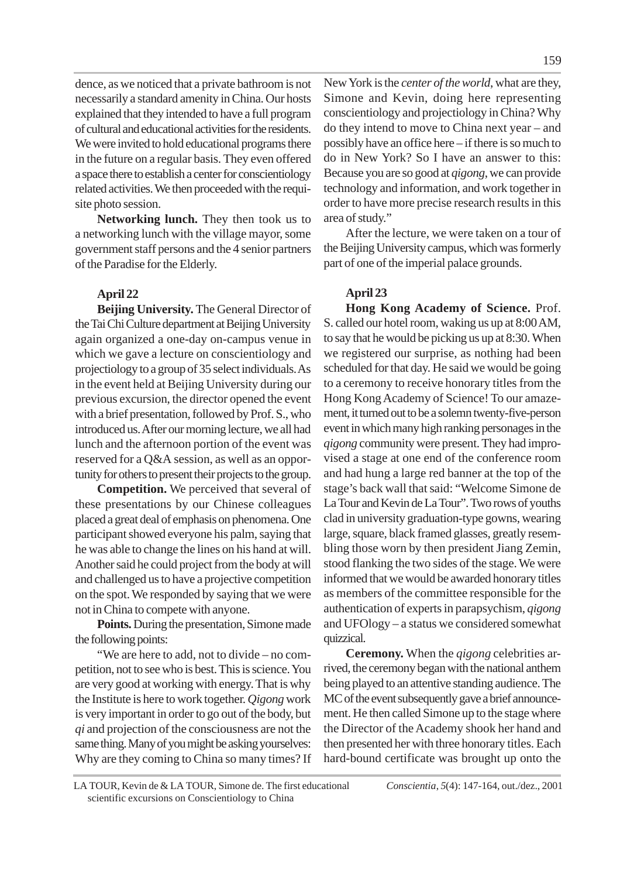159

dence, as we noticed that a private bathroom is not necessarily a standard amenity in China. Our hosts explained that they intended to have a full program of cultural and educational activities for the residents. We were invited to hold educational programs there in the future on a regular basis. They even offered a space there to establish a center for conscientiology related activities. We then proceeded with the requisite photo session.

**Networking lunch.** They then took us to a networking lunch with the village mayor, some government staff persons and the 4 senior partners of the Paradise for the Elderly.

# **April 22**

**Beijing University.** The General Director of the Tai Chi Culture department at Beijing University again organized a one-day on-campus venue in which we gave a lecture on conscientiology and projectiology to a group of 35 select individuals. As in the event held at Beijing University during our previous excursion, the director opened the event with a brief presentation, followed by Prof. S., who introduced us. After our morning lecture, we all had lunch and the afternoon portion of the event was reserved for a Q&A session, as well as an opportunity for others to present their projects to the group.

**Competition.** We perceived that several of these presentations by our Chinese colleagues placed a great deal of emphasis on phenomena. One participant showed everyone his palm, saying that he was able to change the lines on his hand at will. Another said he could project from the body at will and challenged us to have a projective competition on the spot. We responded by saying that we were not in China to compete with anyone.

**Points.** During the presentation, Simone made the following points:

"We are here to add, not to divide – no competition, not to see who is best. This is science. You are very good at working with energy. That is why the Institute is here to work together. *Qigong* work is very important in order to go out of the body, but *qi* and projection of the consciousness are not the same thing. Many of you might be asking yourselves: Why are they coming to China so many times? If New York is the *center of the world*, what are they, Simone and Kevin, doing here representing conscientiology and projectiology in China? Why do they intend to move to China next year – and possibly have an office here – if there is so much to do in New York? So I have an answer to this: Because you are so good at *qigong*, we can provide technology and information, and work together in order to have more precise research results in this area of study."

After the lecture, we were taken on a tour of the Beijing University campus, which was formerly part of one of the imperial palace grounds.

# **April 23**

**Hong Kong Academy of Science.** Prof. S. called our hotel room, waking us up at 8:00 AM, to say that he would be picking us up at 8:30. When we registered our surprise, as nothing had been scheduled for that day. He said we would be going to a ceremony to receive honorary titles from the Hong Kong Academy of Science! To our amazement, it turned out to be a solemn twenty-five-person event in which many high ranking personages in the *qigong* community were present. They had improvised a stage at one end of the conference room and had hung a large red banner at the top of the stage's back wall that said: "Welcome Simone de La Tour and Kevin de La Tour". Two rows of youths clad in university graduation-type gowns, wearing large, square, black framed glasses, greatly resembling those worn by then president Jiang Zemin, stood flanking the two sides of the stage. We were informed that we would be awarded honorary titles as members of the committee responsible for the authentication of experts in parapsychism, *qigong* and UFOlogy – a status we considered somewhat quizzical.

**Ceremony.** When the *qigong* celebrities arrived, the ceremony began with the national anthem being played to an attentive standing audience. The MC of the event subsequently gave a brief announcement. He then called Simone up to the stage where the Director of the Academy shook her hand and then presented her with three honorary titles. Each hard-bound certificate was brought up onto the

LA TOUR, Kevin de & LA TOUR, Simone de. The first educational *Conscientia*, *5*(4): 147-164, out./dez., 2001 scientific excursions on Conscientiology to China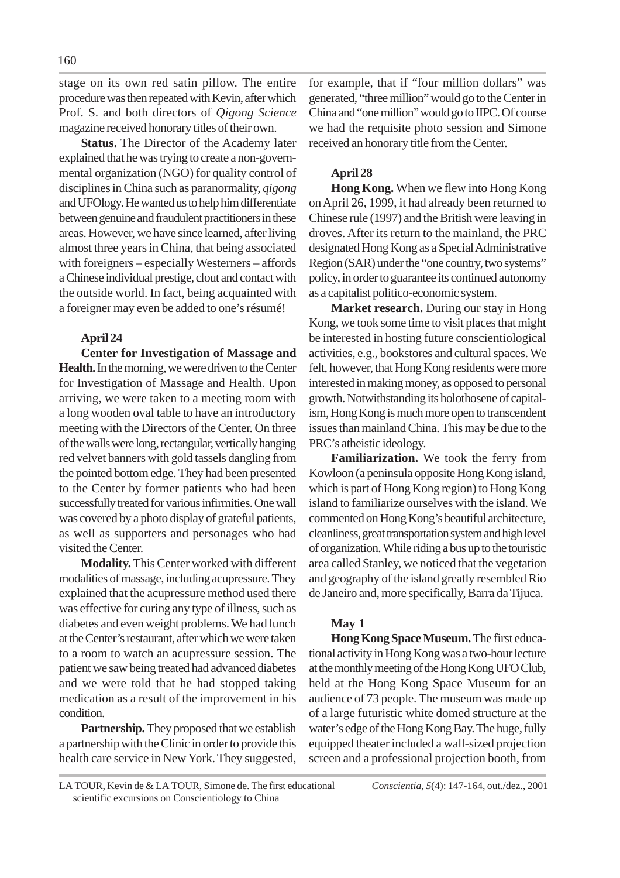stage on its own red satin pillow. The entire procedure was then repeated with Kevin, after which Prof. S. and both directors of *Qigong Science* magazine received honorary titles of their own.

**Status.** The Director of the Academy later explained that he was trying to create a non-governmental organization (NGO) for quality control of disciplines in China such as paranormality, *qigong* and UFOlogy. He wanted us to help him differentiate between genuine and fraudulent practitioners in these areas. However, we have since learned, after living almost three years in China, that being associated with foreigners – especially Westerners – affords a Chinese individual prestige, clout and contact with the outside world. In fact, being acquainted with a foreigner may even be added to one's résumé!

# **April 24**

**Center for Investigation of Massage and Health.** In the morning, we were driven to the Center for Investigation of Massage and Health. Upon arriving, we were taken to a meeting room with a long wooden oval table to have an introductory meeting with the Directors of the Center. On three of the walls were long, rectangular, vertically hanging red velvet banners with gold tassels dangling from the pointed bottom edge. They had been presented to the Center by former patients who had been successfully treated for various infirmities. One wall was covered by a photo display of grateful patients, as well as supporters and personages who had visited the Center.

**Modality.**This Center worked with different modalities of massage, including acupressure. They explained that the acupressure method used there was effective for curing any type of illness, such as diabetes and even weight problems. We had lunch at the Center's restaurant, after which we were taken to a room to watch an acupressure session. The patient we saw being treated had advanced diabetes and we were told that he had stopped taking medication as a result of the improvement in his condition.

**Partnership.** They proposed that we establish a partnership with the Clinic in order to provide this health care service in New York. They suggested,

for example, that if "four million dollars" was generated, "three million" would go to the Center in China and "one million" would go to IIPC. Of course we had the requisite photo session and Simone received an honorary title from the Center.

# **April 28**

**Hong Kong.** When we flew into Hong Kong on April 26, 1999, it had already been returned to Chinese rule (1997) and the British were leaving in droves. After its return to the mainland, the PRC designated Hong Kong as a Special Administrative Region (SAR) under the "one country, two systems" policy, in order to guarantee its continued autonomy as a capitalist politico-economic system.

**Market research.** During our stay in Hong Kong, we took some time to visit places that might be interested in hosting future conscientiological activities, e.g., bookstores and cultural spaces. We felt, however, that Hong Kong residents were more interested in making money, as opposed to personal growth. Notwithstanding its holothosene of capitalism, Hong Kong is much more open to transcendent issues than mainland China. This may be due to the PRC's atheistic ideology.

**Familiarization.** We took the ferry from Kowloon (a peninsula opposite Hong Kong island, which is part of Hong Kong region) to Hong Kong island to familiarize ourselves with the island. We commented on Hong Kong's beautiful architecture, cleanliness, great transportation system and high level of organization. While riding a bus up to the touristic area called Stanley, we noticed that the vegetation and geography of the island greatly resembled Rio de Janeiro and, more specifically, Barra da Tijuca.

# **May 1**

**Hong Kong Space Museum.** The first educational activity in Hong Kong was a two-hour lecture at the monthly meeting of the Hong Kong UFO Club, held at the Hong Kong Space Museum for an audience of 73 people. The museum was made up of a large futuristic white domed structure at the water's edge of the Hong Kong Bay. The huge, fully equipped theater included a wall-sized projection screen and a professional projection booth, from

LA TOUR, Kevin de & LA TOUR, Simone de. The first educational *Conscientia*, *5*(4): 147-164, out./dez., 2001 scientific excursions on Conscientiology to China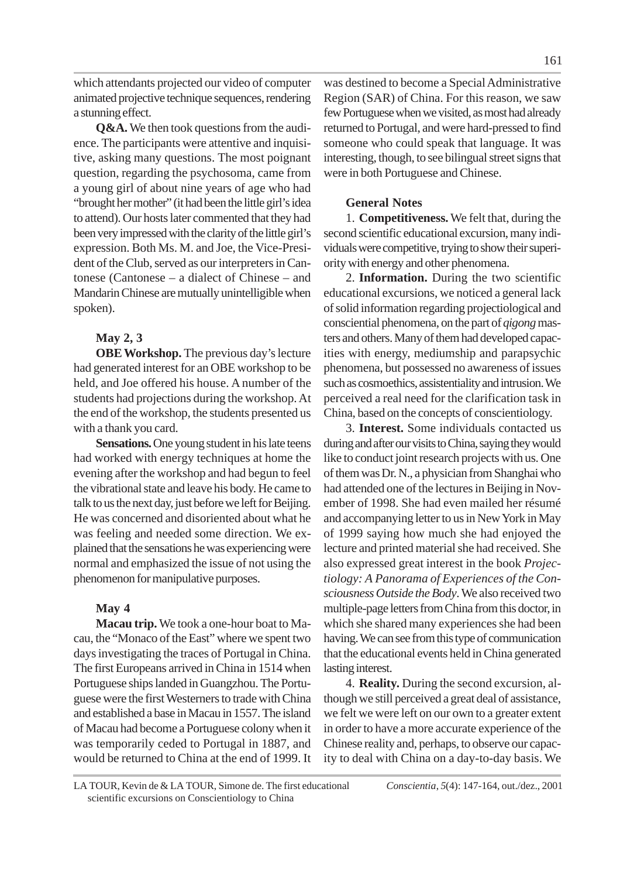a stunning effect. **Q&A.** We then took questions from the audience. The participants were attentive and inquisitive, asking many questions. The most poignant question, regarding the psychosoma, came from a young girl of about nine years of age who had "brought her mother" (it had been the little girl's idea to attend). Our hosts later commented that they had been very impressed with the clarity of the little girl's expression. Both Ms. M. and Joe, the Vice-President of the Club, served as our interpreters in Cantonese (Cantonese – a dialect of Chinese – and Mandarin Chinese are mutually unintelligible when spoken).

# **May 2, 3**

**OBE Workshop.** The previous day's lecture had generated interest for an OBE workshop to be held, and Joe offered his house. A number of the students had projections during the workshop. At the end of the workshop, the students presented us with a thank you card.

**Sensations.** One young student in his late teens had worked with energy techniques at home the evening after the workshop and had begun to feel the vibrational state and leave his body. He came to talk to us the next day, just before we left for Beijing. He was concerned and disoriented about what he was feeling and needed some direction. We explained that the sensations he was experiencing were normal and emphasized the issue of not using the phenomenon for manipulative purposes.

# **May 4**

**Macau trip.** We took a one-hour boat to Macau, the "Monaco of the East" where we spent two days investigating the traces of Portugal in China. The first Europeans arrived in China in 1514 when Portuguese ships landed in Guangzhou. The Portuguese were the first Westerners to trade with China and established a base in Macau in 1557. The island of Macau had become a Portuguese colony when it was temporarily ceded to Portugal in 1887, and would be returned to China at the end of 1999. It

was destined to become a Special Administrative Region (SAR) of China. For this reason, we saw few Portuguese when we visited, as most had already returned to Portugal, and were hard-pressed to find someone who could speak that language. It was interesting, though, to see bilingual street signs that were in both Portuguese and Chinese.

# **General Notes**

1. **Competitiveness.** We felt that, during the second scientific educational excursion, many individuals were competitive, trying to show their superiority with energy and other phenomena.

2. **Information.** During the two scientific educational excursions, we noticed a general lack of solid information regarding projectiological and consciential phenomena, on the part of *qigong* masters and others. Many of them had developed capacities with energy, mediumship and parapsychic phenomena, but possessed no awareness of issues such as cosmoethics, assistentiality and intrusion. We perceived a real need for the clarification task in China, based on the concepts of conscientiology.

3. **Interest.** Some individuals contacted us during and after our visits to China, saying they would like to conduct joint research projects with us. One of them was Dr. N., a physician from Shanghai who had attended one of the lectures in Beijing in November of 1998. She had even mailed her résumé and accompanying letter to us in New York in May of 1999 saying how much she had enjoyed the lecture and printed material she had received. She also expressed great interest in the book *Projectiology: A Panorama of Experiences of the Consciousness Outside the Body*. We also received two multiple-page letters from China from this doctor, in which she shared many experiences she had been having. We can see from this type of communication that the educational events held in China generated lasting interest.

4. **Reality.** During the second excursion, although we still perceived a great deal of assistance, we felt we were left on our own to a greater extent in order to have a more accurate experience of the Chinese reality and, perhaps, to observe our capacity to deal with China on a day-to-day basis. We

LA TOUR, Kevin de & LA TOUR, Simone de. The first educational *Conscientia*, *5*(4): 147-164, out./dez., 2001 scientific excursions on Conscientiology to China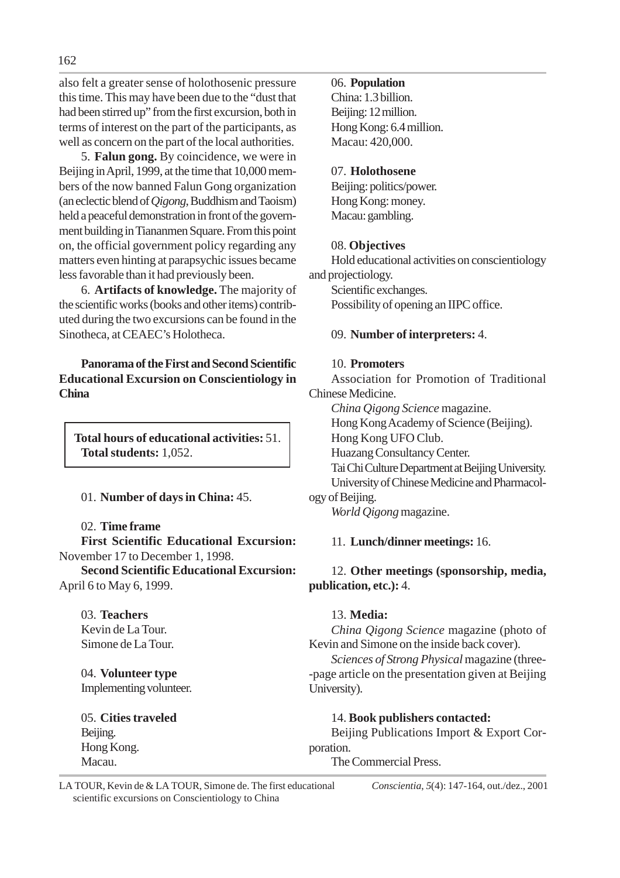also felt a greater sense of holothosenic pressure this time. This may have been due to the "dust that had been stirred up" from the first excursion, both in terms of interest on the part of the participants, as well as concern on the part of the local authorities.

5. **Falun gong.** By coincidence, we were in Beijing in April, 1999, at the time that 10,000 members of the now banned Falun Gong organization (an eclectic blend of *Qigong*, Buddhism and Taoism) held a peaceful demonstration in front of the government building in Tiananmen Square. From this point on, the official government policy regarding any matters even hinting at parapsychic issues became less favorable than it had previously been.

6. **Artifacts of knowledge.** The majority of the scientific works (books and other items) contributed during the two excursions can be found in the Sinotheca, at CEAEC's Holotheca.

**Panorama of the First and Second Scientific Educational Excursion on Conscientiology in China**

**Total hours of educational activities:** 51. **Total students:** 1,052.

01. **Number of days in China:** 45.

# 02. **Time frame**

**First Scientific Educational Excursion:** November 17 to December 1, 1998.

**Second Scientific Educational Excursion:** April 6 to May 6, 1999.

03. **Teachers** Kevin de La Tour. Simone de La Tour.

04. **Volunteer type** Implementing volunteer.

05. **Cities traveled** Beijing. Hong Kong. Macau.

# 06. **Population**

China: 1.3 billion. Beijing: 12 million. Hong Kong: 6.4 million. Macau: 420,000.

# 07. **Holothosene**

Beijing: politics/power. Hong Kong: money. Macau: gambling.

# 08. **Objectives**

Hold educational activities on conscientiology and projectiology. Scientific exchanges.

Possibility of opening an IIPC office.

# 09. **Number of interpreters:** 4.

# 10. **Promoters**

Association for Promotion of Traditional Chinese Medicine.

*China Qigong Science* magazine. Hong Kong Academy of Science (Beijing). Hong Kong UFO Club. Huazang Consultancy Center. Tai Chi Culture Department at Beijing University. University of Chinese Medicine and Pharmacology of Beijing.

*World Qigong* magazine.

# 11. **Lunch/dinner meetings:** 16.

# 12. **Other meetings (sponsorship, media, publication, etc.):** 4.

# 13. **Media:**

*China Qigong Science* magazine (photo of Kevin and Simone on the inside back cover).

*Sciences of Strong Physical* magazine (three- -page article on the presentation given at Beijing University).

# 14. **Book publishers contacted:**

Beijing Publications Import & Export Corporation.

The Commercial Press.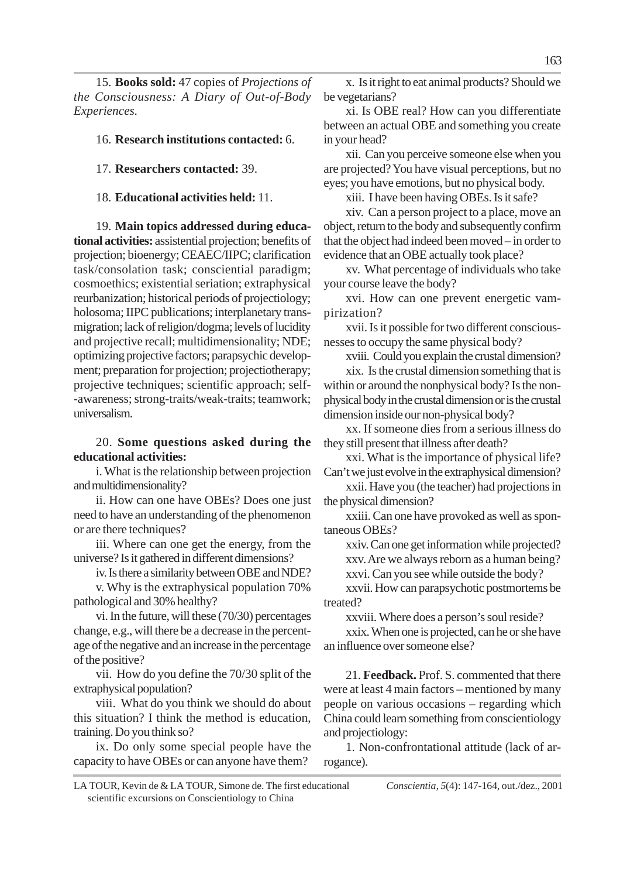15. **Books sold:** 47 copies of *Projections of the Consciousness: A Diary of Out-of-Body Experiences.*

#### 16. **Research institutions contacted:** 6.

17. **Researchers contacted:** 39.

18. **Educational activities held:** 11.

19. **Main topics addressed during educational activities:** assistential projection; benefits of projection; bioenergy; CEAEC/IIPC; clarification task/consolation task; consciential paradigm; cosmoethics; existential seriation; extraphysical reurbanization; historical periods of projectiology; holosoma; IIPC publications; interplanetary transmigration; lack of religion/dogma; levels of lucidity and projective recall; multidimensionality; NDE; optimizing projective factors; parapsychic development; preparation for projection; projectiotherapy; projective techniques; scientific approach; self- -awareness; strong-traits/weak-traits; teamwork; universalism.

# 20. **Some questions asked during the educational activities:**

i. What is the relationship between projection and multidimensionality?

ii. How can one have OBEs? Does one just need to have an understanding of the phenomenon or are there techniques?

iii. Where can one get the energy, from the universe? Is it gathered in different dimensions?

iv. Is there a similarity between OBE and NDE?

v. Why is the extraphysical population 70% pathological and 30% healthy?

vi. In the future, will these (70/30) percentages change, e.g., will there be a decrease in the percentage of the negative and an increase in the percentage of the positive?

vii. How do you define the 70/30 split of the extraphysical population?

viii. What do you think we should do about this situation? I think the method is education, training. Do you think so?

ix. Do only some special people have the capacity to have OBEs or can anyone have them?

x. Is it right to eat animal products? Should we be vegetarians?

xi. Is OBE real? How can you differentiate between an actual OBE and something you create in your head?

xii. Can you perceive someone else when you are projected? You have visual perceptions, but no eyes; you have emotions, but no physical body.

xiii. I have been having OBEs. Is it safe?

xiv. Can a person project to a place, move an object, return to the body and subsequently confirm that the object had indeed been moved – in order to evidence that an OBE actually took place?

xv. What percentage of individuals who take your course leave the body?

xvi. How can one prevent energetic vampirization?

xvii. Is it possible for two different consciousnesses to occupy the same physical body?

xviii. Could you explain the crustal dimension?

xix. Is the crustal dimension something that is within or around the nonphysical body? Is the nonphysical body in the crustal dimension or is the crustal dimension inside our non-physical body?

xx. If someone dies from a serious illness do they still present that illness after death?

xxi. What is the importance of physical life? Can't we just evolve in the extraphysical dimension?

xxii. Have you (the teacher) had projections in the physical dimension?

xxiii. Can one have provoked as well as spontaneous OBEs?

xxiv. Can one get information while projected? xxv. Are we always reborn as a human being?

xxvi. Can you see while outside the body?

xxvii. How can parapsychotic postmortems be treated?

xxviii. Where does a person's soul reside?

xxix. When one is projected, can he or she have an influence over someone else?

21. **Feedback.** Prof. S. commented that there were at least 4 main factors – mentioned by many people on various occasions – regarding which China could learn something from conscientiology and projectiology:

1. Non-confrontational attitude (lack of arrogance).